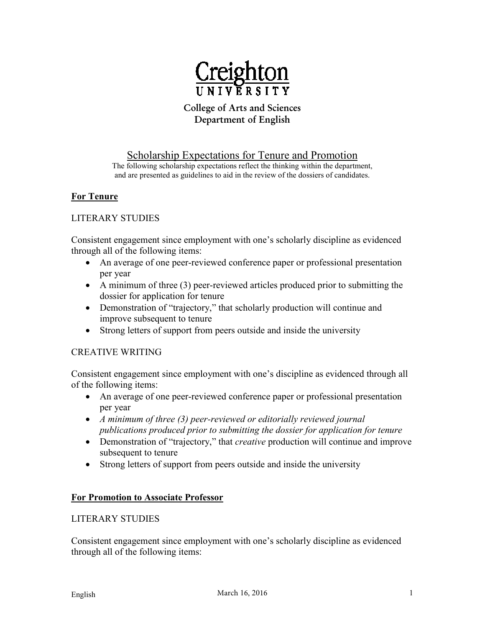

# **College of Arts and Sciences Department of English**

## Scholarship Expectations for Tenure and Promotion

The following scholarship expectations reflect the thinking within the department, and are presented as guidelines to aid in the review of the dossiers of candidates.

### **For Tenure**

### LITERARY STUDIES

Consistent engagement since employment with one's scholarly discipline as evidenced through all of the following items:

- An average of one peer-reviewed conference paper or professional presentation per year
- A minimum of three (3) peer-reviewed articles produced prior to submitting the dossier for application for tenure
- Demonstration of "trajectory," that scholarly production will continue and improve subsequent to tenure
- Strong letters of support from peers outside and inside the university

### CREATIVE WRITING

Consistent engagement since employment with one's discipline as evidenced through all of the following items:

- An average of one peer-reviewed conference paper or professional presentation per year
- *A minimum of three (3) peer-reviewed or editorially reviewed journal publications produced prior to submitting the dossier for application for tenure*
- Demonstration of "trajectory," that *creative* production will continue and improve subsequent to tenure
- Strong letters of support from peers outside and inside the university

### **For Promotion to Associate Professor**

#### LITERARY STUDIES

Consistent engagement since employment with one's scholarly discipline as evidenced through all of the following items: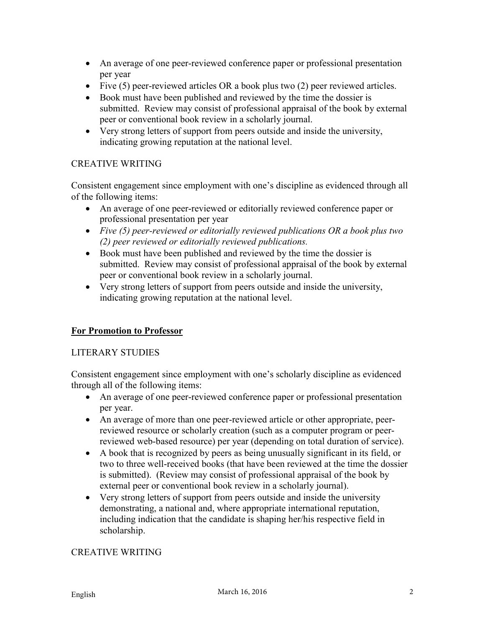- An average of one peer-reviewed conference paper or professional presentation per year
- Five (5) peer-reviewed articles OR a book plus two (2) peer reviewed articles.
- Book must have been published and reviewed by the time the dossier is submitted. Review may consist of professional appraisal of the book by external peer or conventional book review in a scholarly journal.
- Very strong letters of support from peers outside and inside the university, indicating growing reputation at the national level.

## CREATIVE WRITING

Consistent engagement since employment with one's discipline as evidenced through all of the following items:

- An average of one peer-reviewed or editorially reviewed conference paper or professional presentation per year
- *Five (5) peer-reviewed or editorially reviewed publications OR a book plus two (2) peer reviewed or editorially reviewed publications.*
- Book must have been published and reviewed by the time the dossier is submitted. Review may consist of professional appraisal of the book by external peer or conventional book review in a scholarly journal.
- Very strong letters of support from peers outside and inside the university, indicating growing reputation at the national level.

## **For Promotion to Professor**

### LITERARY STUDIES

Consistent engagement since employment with one's scholarly discipline as evidenced through all of the following items:

- An average of one peer-reviewed conference paper or professional presentation per year.
- An average of more than one peer-reviewed article or other appropriate, peerreviewed resource or scholarly creation (such as a computer program or peerreviewed web-based resource) per year (depending on total duration of service).
- A book that is recognized by peers as being unusually significant in its field, or two to three well-received books (that have been reviewed at the time the dossier is submitted). (Review may consist of professional appraisal of the book by external peer or conventional book review in a scholarly journal).
- Very strong letters of support from peers outside and inside the university demonstrating, a national and, where appropriate international reputation, including indication that the candidate is shaping her/his respective field in scholarship.

## CREATIVE WRITING